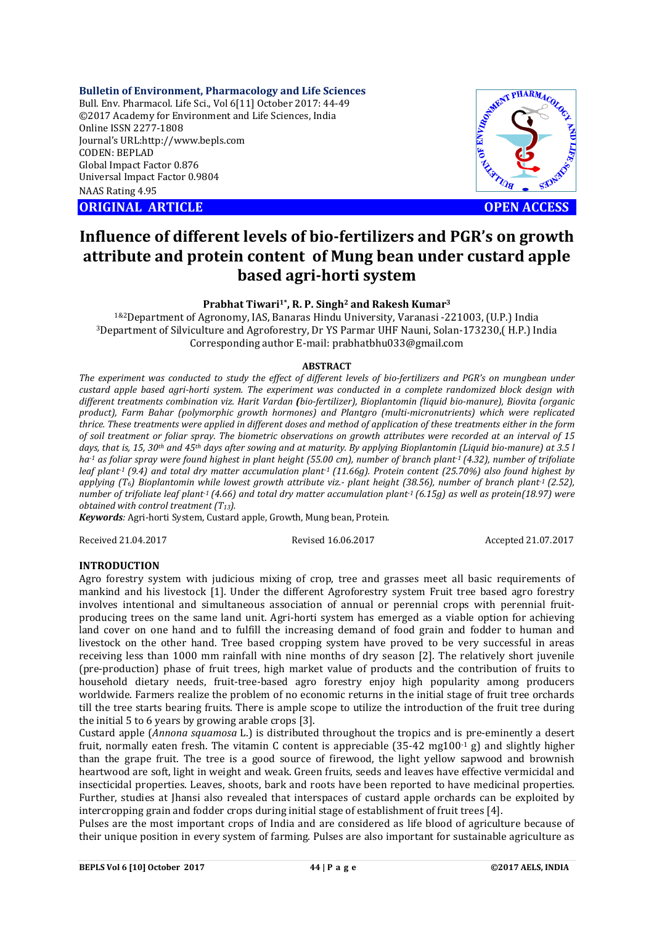### **Bulletin of Environment, Pharmacology and Life Sciences**

Bull. Env. Pharmacol. Life Sci., Vol 6[11] October 2017: 44-49 ©2017 Academy for Environment and Life Sciences, India Online ISSN 2277-1808 Journal's URL:http://www.bepls.com CODEN: BEPLAD Global Impact Factor 0.876 Universal Impact Factor 0.9804 NAAS Rating 4.95 CORIGINAL ARTICLE **OPEN ACCESS** 



# **Influence of different levels of bio-fertilizers and PGR's on growth attribute and protein content of Mung bean under custard apple based agri-horti system**

# **Prabhat Tiwari1\*, R. P. Singh2 and Rakesh Kumar3**

1&2Department of Agronomy, IAS, Banaras Hindu University, Varanasi -221003, (U.P.) India 3Department of Silviculture and Agroforestry, Dr YS Parmar UHF Nauni, Solan-173230,( H.P.) India Corresponding author E-mail: prabhatbhu033@gmail.com

### **ABSTRACT**

*The experiment was conducted to study the effect of different levels of bio-fertilizers and PGR's on mungbean under custard apple based agri-horti system. The experiment was conducted in a complete randomized block design with different treatments combination viz. Harit Vardan (bio-fertilizer), Bioplantomin (liquid bio-manure), Biovita (organic product), Farm Bahar (polymorphic growth hormones) and Plantgro (multi-micronutrients) which were replicated thrice. These treatments were applied in different doses and method of application of these treatments either in the form of soil treatment or foliar spray. The biometric observations on growth attributes were recorded at an interval of 15 days, that is, 15, 30th and 45th days after sowing and at maturity. By applying Bioplantomin (Liquid bio-manure) at 3.5 l ha-1 as foliar spray were found highest in plant height (55.00 cm), number of branch plant-1 (4.32), number of trifoliate leaf plant-1 (9.4) and total dry matter accumulation plant-1 (11.66g). Protein content (25.70%) also found highest by applying (T6) Bioplantomin while lowest growth attribute viz.- plant height (38.56), number of branch plant-1 (2.52), number of trifoliate leaf plant-1 (4.66) and total dry matter accumulation plant-1 (6.15g) as well as protein(18.97) were obtained with control treatment (T13).* 

*Keywords:* Agri-horti System, Custard apple, Growth, Mung bean, Protein.

Received 21.04.2017 Revised 16.06.2017 Accepted 21.07.2017

# **INTRODUCTION**

Agro forestry system with judicious mixing of crop, tree and grasses meet all basic requirements of mankind and his livestock [1]. Under the different Agroforestry system Fruit tree based agro forestry involves intentional and simultaneous association of annual or perennial crops with perennial fruitproducing trees on the same land unit. Agri-horti system has emerged as a viable option for achieving land cover on one hand and to fulfill the increasing demand of food grain and fodder to human and livestock on the other hand. Tree based cropping system have proved to be very successful in areas receiving less than 1000 mm rainfall with nine months of dry season [2]. The relatively short juvenile (pre-production) phase of fruit trees, high market value of products and the contribution of fruits to household dietary needs, fruit-tree-based agro forestry enjoy high popularity among producers worldwide. Farmers realize the problem of no economic returns in the initial stage of fruit tree orchards till the tree starts bearing fruits. There is ample scope to utilize the introduction of the fruit tree during the initial 5 to 6 years by growing arable crops [3].

Custard apple (*Annona squamosa* L.) is distributed throughout the tropics and is pre-eminently a desert fruit, normally eaten fresh. The vitamin C content is appreciable  $(35-42 \text{ me}100^{-1} \text{ g})$  and slightly higher than the grape fruit. The tree is a good source of firewood, the light yellow sapwood and brownish heartwood are soft, light in weight and weak. Green fruits, seeds and leaves have effective vermicidal and insecticidal properties. Leaves, shoots, bark and roots have been reported to have medicinal properties. Further, studies at Jhansi also revealed that interspaces of custard apple orchards can be exploited by intercropping grain and fodder crops during initial stage of establishment of fruit trees [4].

Pulses are the most important crops of India and are considered as life blood of agriculture because of their unique position in every system of farming. Pulses are also important for sustainable agriculture as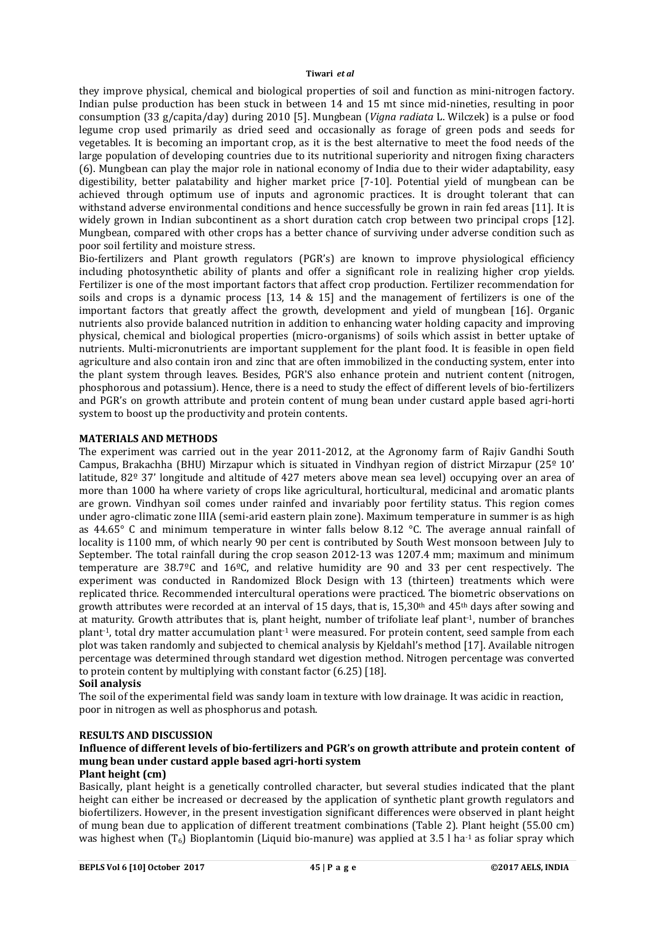#### **Tiwari** *et al*

they improve physical, chemical and biological properties of soil and function as mini-nitrogen factory. Indian pulse production has been stuck in between 14 and 15 mt since mid-nineties, resulting in poor consumption (33 g/capita/day) during 2010 [5]. Mungbean (*Vigna radiata* L. Wilczek) is a pulse or food legume crop used primarily as dried seed and occasionally as forage of green pods and seeds for vegetables. It is becoming an important crop, as it is the best alternative to meet the food needs of the large population of developing countries due to its nutritional superiority and nitrogen fixing characters (6). Mungbean can play the major role in national economy of India due to their wider adaptability, easy digestibility, better palatability and higher market price [7-10]. Potential yield of mungbean can be achieved through optimum use of inputs and agronomic practices. It is drought tolerant that can withstand adverse environmental conditions and hence successfully be grown in rain fed areas [11]. It is widely grown in Indian subcontinent as a short duration catch crop between two principal crops [12]. Mungbean, compared with other crops has a better chance of surviving under adverse condition such as poor soil fertility and moisture stress.

Bio-fertilizers and Plant growth regulators (PGR's) are known to improve physiological efficiency including photosynthetic ability of plants and offer a significant role in realizing higher crop yields. Fertilizer is one of the most important factors that affect crop production. Fertilizer recommendation for soils and crops is a dynamic process [13, 14 & 15] and the management of fertilizers is one of the important factors that greatly affect the growth, development and yield of mungbean [16]. Organic nutrients also provide balanced nutrition in addition to enhancing water holding capacity and improving physical, chemical and biological properties (micro-organisms) of soils which assist in better uptake of nutrients. Multi-micronutrients are important supplement for the plant food. It is feasible in open field agriculture and also contain iron and zinc that are often immobilized in the conducting system, enter into the plant system through leaves. Besides, PGR'S also enhance protein and nutrient content (nitrogen, phosphorous and potassium). Hence, there is a need to study the effect of different levels of bio-fertilizers and PGR's on growth attribute and protein content of mung bean under custard apple based agri-horti system to boost up the productivity and protein contents.

# **MATERIALS AND METHODS**

The experiment was carried out in the year 2011-2012, at the Agronomy farm of Rajiv Gandhi South Campus, Brakachha (BHU) Mirzapur which is situated in Vindhyan region of district Mirzapur (25º 10' latitude, 82º 37' longitude and altitude of 427 meters above mean sea level) occupying over an area of more than 1000 ha where variety of crops like agricultural, horticultural, medicinal and aromatic plants are grown. Vindhyan soil comes under rainfed and invariably poor fertility status. This region comes under agro-climatic zone IIIA (semi-arid eastern plain zone). Maximum temperature in summer is as high as 44.65° C and minimum temperature in winter falls below 8.12 °C. The average annual rainfall of locality is 1100 mm, of which nearly 90 per cent is contributed by South West monsoon between July to September. The total rainfall during the crop season 2012-13 was 1207.4 mm; maximum and minimum temperature are 38.7ºC and 16ºC, and relative humidity are 90 and 33 per cent respectively. The experiment was conducted in Randomized Block Design with 13 (thirteen) treatments which were replicated thrice. Recommended intercultural operations were practiced. The biometric observations on growth attributes were recorded at an interval of 15 days, that is, 15,30th and 45th days after sowing and at maturity. Growth attributes that is, plant height, number of trifoliate leaf plant-1, number of branches plant-1, total dry matter accumulation plant-1 were measured. For protein content, seed sample from each plot was taken randomly and subjected to chemical analysis by Kjeldahl's method [17]. Available nitrogen percentage was determined through standard wet digestion method. Nitrogen percentage was converted to protein content by multiplying with constant factor (6.25) [18].

#### **Soil analysis**

The soil of the experimental field was sandy loam in texture with low drainage. It was acidic in reaction, poor in nitrogen as well as phosphorus and potash.

#### **RESULTS AND DISCUSSION**

# **Influence of different levels of bio-fertilizers and PGR's on growth attribute and protein content of mung bean under custard apple based agri-horti system**

# **Plant height (cm)**

Basically, plant height is a genetically controlled character, but several studies indicated that the plant height can either be increased or decreased by the application of synthetic plant growth regulators and biofertilizers. However, in the present investigation significant differences were observed in plant height of mung bean due to application of different treatment combinations (Table 2). Plant height (55.00 cm) was highest when  $(T_6)$  Bioplantomin (Liquid bio-manure) was applied at 3.5 l ha<sup>-1</sup> as foliar spray which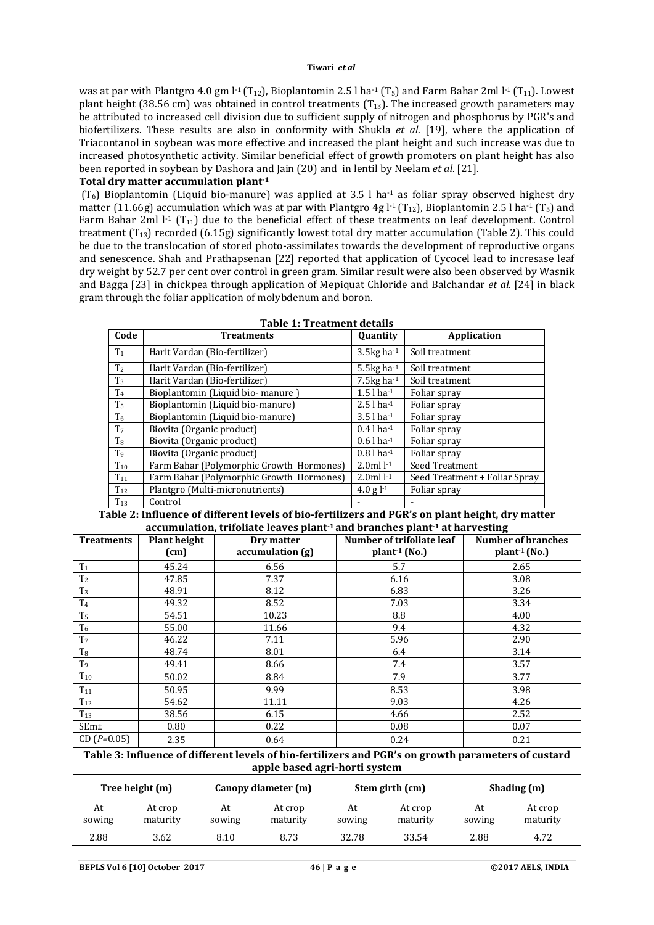was at par with Plantgro 4.0 gm  $l^1$  (T<sub>12</sub>), Bioplantomin 2.5 l ha<sup>-1</sup> (T<sub>5</sub>) and Farm Bahar 2ml  $l^1$  (T<sub>11</sub>). Lowest plant height (38.56 cm) was obtained in control treatments  $(T_{13})$ . The increased growth parameters may be attributed to increased cell division due to sufficient supply of nitrogen and phosphorus by PGR's and biofertilizers. These results are also in conformity with Shukla *et al*. [19], where the application of Triacontanol in soybean was more effective and increased the plant height and such increase was due to increased photosynthetic activity. Similar beneficial effect of growth promoters on plant height has also been reported in soybean by Dashora and Jain (20) and in lentil by Neelam *et al*. [21].

## **Total dry matter accumulation plant-1**

 $(T<sub>6</sub>)$  Bioplantomin (Liquid bio-manure) was applied at 3.5 l ha<sup>-1</sup> as foliar spray observed highest dry matter (11.66g) accumulation which was at par with Plantgro 4g l<sup>-1</sup> (T<sub>12</sub>), Bioplantomin 2.5 l ha<sup>-1</sup> (T<sub>5</sub>) and Farm Bahar 2ml  $l$ <sup>-1</sup> (T<sub>11</sub>) due to the beneficial effect of these treatments on leaf development. Control treatment  $(T_{13})$  recorded (6.15g) significantly lowest total dry matter accumulation (Table 2). This could be due to the translocation of stored photo-assimilates towards the development of reproductive organs and senescence. Shah and Prathapsenan [22] reported that application of Cycocel lead to incresase leaf dry weight by 52.7 per cent over control in green gram. Similar result were also been observed by Wasnik and Bagga [23] in chickpea through application of Mepiquat Chloride and Balchandar *et al.* [24] in black gram through the foliar application of molybdenum and boron.

| <b>Table 1: Treatment details</b> |                                          |                          |                               |  |  |  |  |  |
|-----------------------------------|------------------------------------------|--------------------------|-------------------------------|--|--|--|--|--|
| Code                              | <b>Treatments</b>                        | Quantity                 | <b>Application</b>            |  |  |  |  |  |
| T <sub>1</sub>                    | Harit Vardan (Bio-fertilizer)            | $3.5$ kg ha $-1$         | Soil treatment                |  |  |  |  |  |
| T <sub>2</sub>                    | Harit Vardan (Bio-fertilizer)            | 5.5 $kg$ ha $-1$         | Soil treatment                |  |  |  |  |  |
| T <sub>3</sub>                    | Harit Vardan (Bio-fertilizer)            | 7.5 $kg$ ha $^{-1}$      | Soil treatment                |  |  |  |  |  |
| T <sub>4</sub>                    | Bioplantomin (Liquid bio-manure)         | $1.5$ l ha $-1$          | Foliar spray                  |  |  |  |  |  |
| T <sub>5</sub>                    | Bioplantomin (Liquid bio-manure)         | $2.5$ l ha $^{-1}$       | Foliar spray                  |  |  |  |  |  |
| T <sub>6</sub>                    | Bioplantomin (Liquid bio-manure)         | $3.5$ l ha <sup>-1</sup> | Foliar spray                  |  |  |  |  |  |
| T <sub>7</sub>                    | Biovita (Organic product)                | $0.4$ l ha-1             | Foliar spray                  |  |  |  |  |  |
| T <sub>8</sub>                    | Biovita (Organic product)                | $0.6$ l ha <sup>-1</sup> | Foliar spray                  |  |  |  |  |  |
| T9                                | Biovita (Organic product)                | $0.8$ l ha-1             | Foliar spray                  |  |  |  |  |  |
| $T_{10}$                          | Farm Bahar (Polymorphic Growth Hormones) | $2.0$ ml $l-1$           | Seed Treatment                |  |  |  |  |  |
| $T_{11}$                          | Farm Bahar (Polymorphic Growth Hormones) | $2.0$ ml $l^{-1}$        | Seed Treatment + Foliar Spray |  |  |  |  |  |
| $T_{12}$                          | Plantgro (Multi-micronutrients)          | 4.0 g $-1$               | Foliar spray                  |  |  |  |  |  |
| $T_{13}$                          | Control                                  |                          |                               |  |  |  |  |  |

**Table 2: Influence of different levels of bio-fertilizers and PGR's on plant height, dry matter accumulation, trifoliate leaves plant-1 and branches plant-1 at harvesting**

| accumunuon, u nomac icaves piane -ana si anches piane -ac nai vescniq |                     |                  |                                                        |                          |  |  |  |  |  |
|-----------------------------------------------------------------------|---------------------|------------------|--------------------------------------------------------|--------------------------|--|--|--|--|--|
| <b>Treatments</b>                                                     | <b>Plant height</b> | Dry matter       | Number of trifoliate leaf<br><b>Number of branches</b> |                          |  |  |  |  |  |
|                                                                       | (cm)                | accumulation (g) | $plant1$ (No.)                                         | plant <sup>1</sup> (No.) |  |  |  |  |  |
| T <sub>1</sub>                                                        | 45.24               | 6.56             | 5.7                                                    | 2.65                     |  |  |  |  |  |
| T <sub>2</sub>                                                        | 47.85               | 7.37             | 6.16                                                   | 3.08                     |  |  |  |  |  |
| T <sub>3</sub>                                                        | 48.91               | 8.12             | 6.83                                                   | 3.26                     |  |  |  |  |  |
| $\mathrm{T}_4$                                                        | 49.32               | 8.52             | 7.03                                                   | 3.34                     |  |  |  |  |  |
| T <sub>5</sub>                                                        | 54.51               | 10.23            | 8.8                                                    | 4.00                     |  |  |  |  |  |
| T <sub>6</sub>                                                        | 55.00               | 11.66            | 9.4                                                    | 4.32                     |  |  |  |  |  |
| T <sub>7</sub>                                                        | 46.22               | 7.11             | 5.96                                                   | 2.90                     |  |  |  |  |  |
| $\rm T8$                                                              | 48.74               | 8.01             | 6.4                                                    | 3.14                     |  |  |  |  |  |
| T <sub>9</sub>                                                        | 49.41               | 8.66             | 7.4                                                    | 3.57                     |  |  |  |  |  |
| $T_{10}$                                                              | 50.02               | 8.84             | 7.9                                                    | 3.77                     |  |  |  |  |  |
| $\mathrm{T}_{11}$                                                     | 50.95               | 9.99             | 8.53                                                   | 3.98                     |  |  |  |  |  |
| $T_{12}$                                                              | 54.62               | 11.11            | 9.03                                                   | 4.26                     |  |  |  |  |  |
| $T_{13}$                                                              | 38.56               | 6.15             | 4.66                                                   | 2.52                     |  |  |  |  |  |
| SEm±                                                                  | 0.80                | 0.22             | 0.08                                                   | 0.07                     |  |  |  |  |  |
| $CD(P=0.05)$                                                          | 2.35                | 0.64             | 0.24                                                   | 0.21                     |  |  |  |  |  |

### **Table 3: Influence of different levels of bio-fertilizers and PGR's on growth parameters of custard apple based agri-horti system**

| Tree height (m) |                     | Canopy diameter (m) |                     | Stem girth (cm) |                     | Shading (m)  |                     |
|-----------------|---------------------|---------------------|---------------------|-----------------|---------------------|--------------|---------------------|
| At<br>sowing    | At crop<br>maturity | At<br>sowing        | At crop<br>maturity | At<br>sowing    | At crop<br>maturity | At<br>sowing | At crop<br>maturity |
| 2.88            | 3.62                | 8.10                | 8.73                | 32.78           | 33.54               | 2.88         | 4.72                |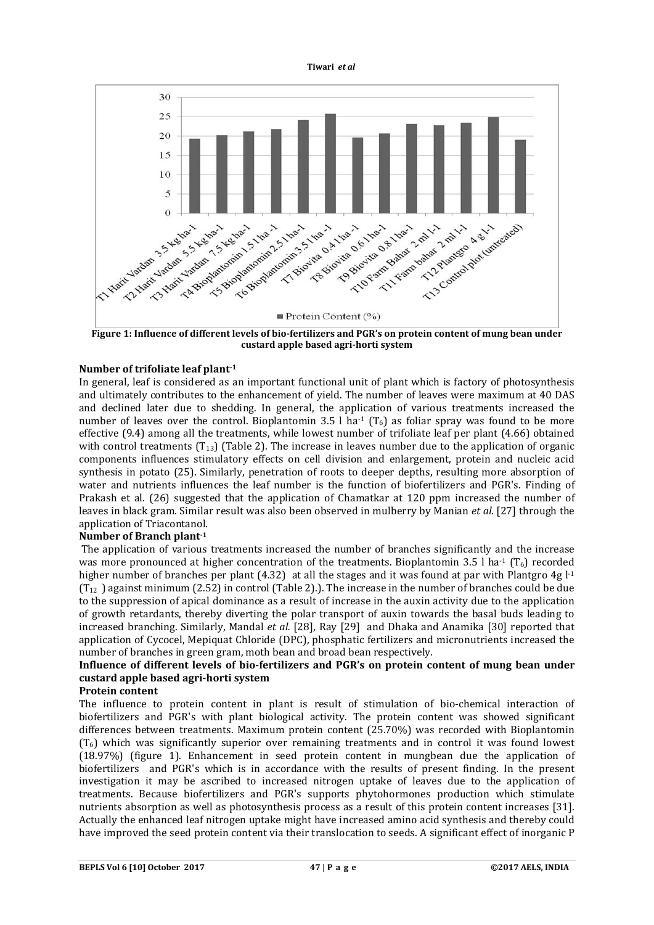



**Figure 1: Influence of different levels of bio-fertilizers and PGR's on protein content of mung bean under custard apple based agri-horti system**

# **Number of trifoliate leaf plant-1**

In general, leaf is considered as an important functional unit of plant which is factory of photosynthesis and ultimately contributes to the enhancement of yield. The number of leaves were maximum at 40 DAS and declined later due to shedding. In general, the application of various treatments increased the number of leaves over the control. Bioplantomin 3.5 l ha<sup>-1</sup> ( $T_6$ ) as foliar spray was found to be more effective (9.4) among all the treatments, while lowest number of trifoliate leaf per plant (4.66) obtained with control treatments  $(T_{13})$  (Table 2). The increase in leaves number due to the application of organic components influences stimulatory effects on cell division and enlargement, protein and nucleic acid synthesis in potato (25). Similarly, penetration of roots to deeper depths, resulting more absorption of water and nutrients influences the leaf number is the function of biofertilizers and PGR's. Finding of Prakash et al*.* (26) suggested that the application of Chamatkar at 120 ppm increased the number of leaves in black gram. Similar result was also been observed in mulberry by Manian *et al*. [27] through the application of Triacontanol.

# **Number of Branch plant-1**

The application of various treatments increased the number of branches significantly and the increase was more pronounced at higher concentration of the treatments. Bioplantomin 3.5 l ha<sup>-1</sup> ( $T_6$ ) recorded higher number of branches per plant  $(4.32)$  at all the stages and it was found at par with Plantgro 4g  $l<sup>-1</sup>$  $(T_{12})$  against minimum (2.52) in control (Table 2).). The increase in the number of branches could be due to the suppression of apical dominance as a result of increase in the auxin activity due to the application of growth retardants, thereby diverting the polar transport of auxin towards the basal buds leading to increased branching. Similarly, Mandal *et al.* [28], Ray [29] and Dhaka and Anamika [30] reported that application of Cycocel, Mepiquat Chloride (DPC), phosphatic fertilizers and micronutrients increased the number of branches in green gram, moth bean and broad bean respectively.

# **Influence of different levels of bio-fertilizers and PGR's on protein content of mung bean under custard apple based agri-horti system**

# **Protein content**

The influence to protein content in plant is result of stimulation of bio-chemical interaction of biofertilizers and PGR's with plant biological activity. The protein content was showed significant differences between treatments. Maximum protein content (25.70%) was recorded with Bioplantomin  $(T<sub>6</sub>)$  which was significantly superior over remaining treatments and in control it was found lowest (18.97%) (figure 1). Enhancement in seed protein content in mungbean due the application of biofertilizers and PGR's which is in accordance with the results of present finding. In the present investigation it may be ascribed to increased nitrogen uptake of leaves due to the application of treatments. Because biofertilizers and PGR's supports phytohormones production which stimulate nutrients absorption as well as photosynthesis process as a result of this protein content increases [31]. Actually the enhanced leaf nitrogen uptake might have increased amino acid synthesis and thereby could have improved the seed protein content via their translocation to seeds. A significant effect of inorganic P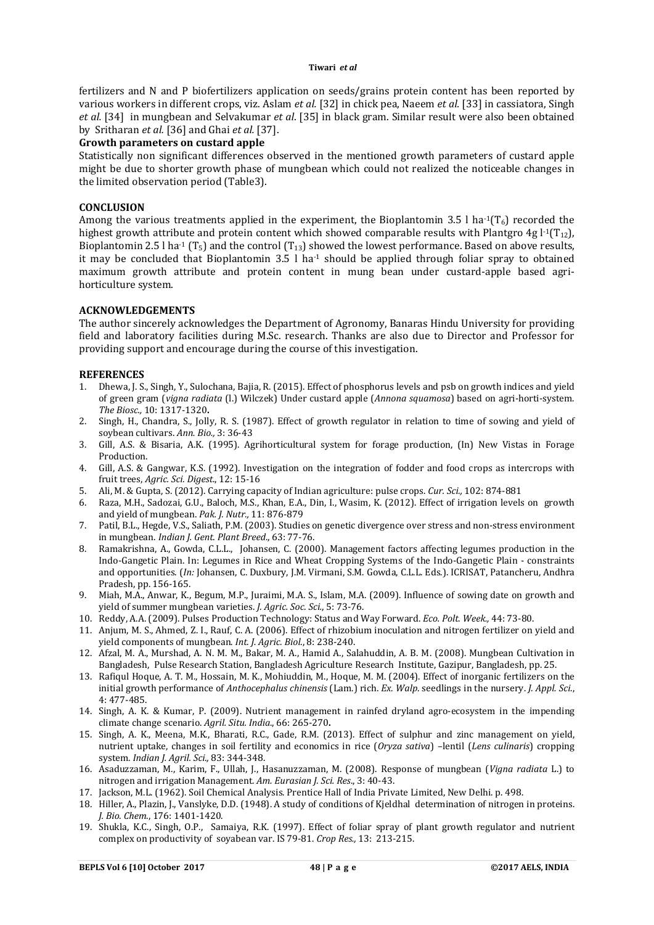#### **Tiwari** *et al*

fertilizers and N and P biofertilizers application on seeds/grains protein content has been reported by various workers in different crops, viz. Aslam *et al.* [32] in chick pea, Naeem *et al.* [33] in cassiatora, Singh *et al.* [34] in mungbean and Selvakumar *et al*. [35] in black gram. Similar result were also been obtained by Sritharan *et al.* [36] and Ghai *et al.* [37].

# **Growth parameters on custard apple**

Statistically non significant differences observed in the mentioned growth parameters of custard apple might be due to shorter growth phase of mungbean which could not realized the noticeable changes in the limited observation period (Table3).

## **CONCLUSION**

Among the various treatments applied in the experiment, the Bioplantomin 3.5 l ha<sup>-1</sup>( $T_6$ ) recorded the highest growth attribute and protein content which showed comparable results with Plantgro 4g  $l^1(T_{12})$ , Bioplantomin 2.5 l ha<sup>-1</sup> (T<sub>5</sub>) and the control (T<sub>13</sub>) showed the lowest performance. Based on above results, it may be concluded that Bioplantomin  $3.5 \,$  l ha<sup>-1</sup> should be applied through foliar spray to obtained maximum growth attribute and protein content in mung bean under custard-apple based agrihorticulture system.

## **ACKNOWLEDGEMENTS**

The author sincerely acknowledges the Department of Agronomy, Banaras Hindu University for providing field and laboratory facilities during M.Sc. research. Thanks are also due to Director and Professor for providing support and encourage during the course of this investigation.

## **REFERENCES**

- 1. Dhewa, J. S., Singh, Y., Sulochana, Bajia, R. (2015). Effect of phosphorus levels and psb on growth indices and yield of green gram (*vigna radiata* (l.) Wilczek) Under custard apple (*Annona squamosa*) based on agri-horti-system. *The Biosc.,* 10: 1317-1320**.**
- 2. Singh, H., Chandra, S., Jolly, R. S. (1987). Effect of growth regulator in relation to time of sowing and yield of soybean cultivars. *Ann. Bio.,* 3: 36-43
- 3. Gill, A.S. & Bisaria, A.K. (1995). Agrihorticultural system for forage production, (In) New Vistas in Forage Production.
- 4. Gill, A.S. & Gangwar, K.S. (1992). Investigation on the integration of fodder and food crops as intercrops with fruit trees, *Agric. Sci. Digest*., 12: 15-16
- 5. Ali, M. & Gupta, S. (2012). Carrying capacity of Indian agriculture: pulse crops. *Cur. Sci.,* 102: 874-881
- 6. Raza, M.H., Sadozai, G.U., Baloch, M.S., Khan, E.A., Din, I., Wasim, K. (2012). Effect of irrigation levels on growth and yield of mungbean. *Pak. J. Nutr.,* 11: 876-879
- 7. Patil, B.L., Hegde, V.S., Saliath, P.M. (2003). Studies on genetic divergence over stress and non-stress environment in mungbean. *Indian J. Gent. Plant Breed*., 63: 77-76.
- 8. Ramakrishna, A., Gowda, C.L.L., Johansen, C. (2000). Management factors affecting legumes production in the Indo-Gangetic Plain. In: Legumes in Rice and Wheat Cropping Systems of the Indo-Gangetic Plain - constraints and opportunities. (*In:* Johansen, C. Duxbury, J.M. Virmani, S.M. Gowda, C.L.L. Eds.). ICRISAT, Patancheru, Andhra Pradesh, pp. 156-165.
- 9. Miah, M.A., Anwar, K., Begum, M.P., Juraimi, M.A. S., Islam, M.A. (2009). Influence of sowing date on growth and yield of summer mungbean varieties. *J. Agric. Soc. Sci.*, 5: 73-76.
- 10. Reddy, A.A. (2009). Pulses Production Technology: Status and Way Forward. *Eco. Polt. Week.,* 44: 73-80.
- 11. Anjum, M. S., Ahmed, Z. I., Rauf, C. A. (2006). Effect of rhizobium inoculation and nitrogen fertilizer on yield and yield components of mungbean. *Int. J. Agric. Biol*., 8: 238-240.
- 12. Afzal, M. A., Murshad, A. N. M. M., Bakar, M. A., Hamid A., Salahuddin, A. B. M. (2008). Mungbean Cultivation in Bangladesh, Pulse Research Station, Bangladesh Agriculture Research Institute, Gazipur, Bangladesh, pp. 25.
- 13. Rafiqul Hoque, A. T. M., Hossain, M. K., Mohiuddin, M., Hoque, M. M. (2004). Effect of inorganic fertilizers on the initial growth performance of *Anthocephalus chinensis* (Lam.) rich. *Ex. Walp*. seedlings in the nursery. *J. Appl. Sci*., 4: 477-485.
- 14. Singh, A. K. & Kumar, P. (2009). Nutrient management in rainfed dryland agro-ecosystem in the impending climate change scenario. *Agril. Situ. India*., 66: 265-270**.**
- 15. Singh, A. K., Meena, M.K., Bharati, R.C., Gade, R.M. (2013). Effect of sulphur and zinc management on yield, nutrient uptake, changes in soil fertility and economics in rice (*Oryza sativa*) –lentil (*Lens culinaris*) cropping system. *Indian J. Agril. Sci.,* 83: 344-348.
- 16. Asaduzzaman, M., Karim, F., Ullah, J., Hasanuzzaman, M. (2008). Response of mungbean (*Vigna radiata* L.) to nitrogen and irrigation Management. *Am. Eurasian J. Sci. Res*., 3: 40-43.
- 17. Jackson, M.L. (1962). Soil Chemical Analysis. Prentice Hall of India Private Limited, New Delhi. p. 498.
- 18. Hiller, A., Plazin, J., Vanslyke, D.D. (1948). A study of conditions of Kjeldhal determination of nitrogen in proteins. *J. Bio. Chem*., 176: 1401-1420.
- 19. Shukla, K.C., Singh, O.P., Samaiya, R.K. (1997). Effect of foliar spray of plant growth regulator and nutrient complex on productivity of soyabean var. IS 79-81. *Crop Res.,* 13: 213-215.